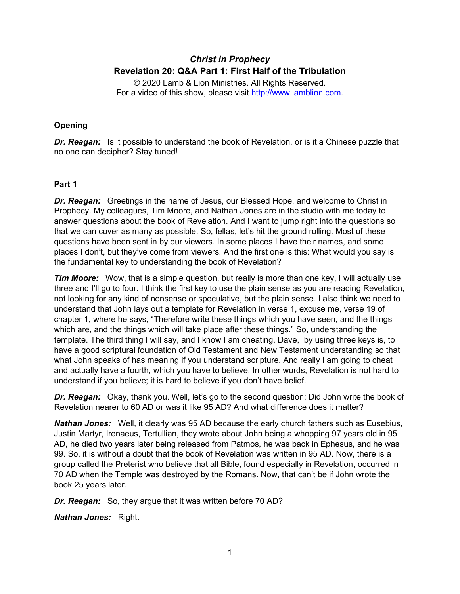# *Christ in Prophecy* **Revelation 20: Q&A Part 1: First Half of the Tribulation**

© 2020 Lamb & Lion Ministries. All Rights Reserved. For a video of this show, please visit [http://www.lamblion.com.](http://www.lamblion.com/)

# **Opening**

**Dr. Reagan:** Is it possible to understand the book of Revelation, or is it a Chinese puzzle that no one can decipher? Stay tuned!

### **Part 1**

*Dr. Reagan:* Greetings in the name of Jesus, our Blessed Hope, and welcome to Christ in Prophecy. My colleagues, Tim Moore, and Nathan Jones are in the studio with me today to answer questions about the book of Revelation. And I want to jump right into the questions so that we can cover as many as possible. So, fellas, let's hit the ground rolling. Most of these questions have been sent in by our viewers. In some places I have their names, and some places I don't, but they've come from viewers. And the first one is this: What would you say is the fundamental key to understanding the book of Revelation?

*Tim Moore:* Wow, that is a simple question, but really is more than one key, I will actually use three and I'll go to four. I think the first key to use the plain sense as you are reading Revelation, not looking for any kind of nonsense or speculative, but the plain sense. I also think we need to understand that John lays out a template for Revelation in verse 1, excuse me, verse 19 of chapter 1, where he says, "Therefore write these things which you have seen, and the things which are, and the things which will take place after these things." So, understanding the template. The third thing I will say, and I know I am cheating, Dave, by using three keys is, to have a good scriptural foundation of Old Testament and New Testament understanding so that what John speaks of has meaning if you understand scripture. And really I am going to cheat and actually have a fourth, which you have to believe. In other words, Revelation is not hard to understand if you believe; it is hard to believe if you don't have belief.

*Dr. Reagan:* Okay, thank you. Well, let's go to the second question: Did John write the book of Revelation nearer to 60 AD or was it like 95 AD? And what difference does it matter?

*Nathan Jones:* Well, it clearly was 95 AD because the early church fathers such as Eusebius, Justin Martyr, Irenaeus, Tertullian, they wrote about John being a whopping 97 years old in 95 AD, he died two years later being released from Patmos, he was back in Ephesus, and he was 99. So, it is without a doubt that the book of Revelation was written in 95 AD. Now, there is a group called the Preterist who believe that all Bible, found especially in Revelation, occurred in 70 AD when the Temple was destroyed by the Romans. Now, that can't be if John wrote the book 25 years later.

*Dr. Reagan:* So, they argue that it was written before 70 AD?

*Nathan Jones:* Right.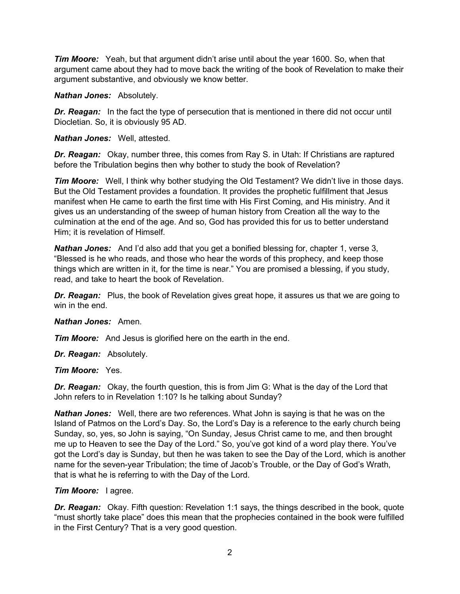*Tim Moore:* Yeah, but that argument didn't arise until about the year 1600. So, when that argument came about they had to move back the writing of the book of Revelation to make their argument substantive, and obviously we know better.

*Nathan Jones:* Absolutely.

*Dr. Reagan:* In the fact the type of persecution that is mentioned in there did not occur until Diocletian. So, it is obviously 95 AD.

*Nathan Jones:* Well, attested.

*Dr. Reagan:* Okay, number three, this comes from Ray S. in Utah: If Christians are raptured before the Tribulation begins then why bother to study the book of Revelation?

**Tim Moore:** Well, I think why bother studying the Old Testament? We didn't live in those days. But the Old Testament provides a foundation. It provides the prophetic fulfillment that Jesus manifest when He came to earth the first time with His First Coming, and His ministry. And it gives us an understanding of the sweep of human history from Creation all the way to the culmination at the end of the age. And so, God has provided this for us to better understand Him; it is revelation of Himself.

*Nathan Jones:* And I'd also add that you get a bonified blessing for, chapter 1, verse 3, "Blessed is he who reads, and those who hear the words of this prophecy, and keep those things which are written in it, for the time is near." You are promised a blessing, if you study, read, and take to heart the book of Revelation.

*Dr. Reagan:* Plus, the book of Revelation gives great hope, it assures us that we are going to win in the end.

# *Nathan Jones:* Amen.

*Tim Moore:* And Jesus is glorified here on the earth in the end.

*Dr. Reagan:* Absolutely.

*Tim Moore:* Yes.

*Dr. Reagan:* Okay, the fourth question, this is from Jim G: What is the day of the Lord that John refers to in Revelation 1:10? Is he talking about Sunday?

*Nathan Jones:* Well, there are two references. What John is saying is that he was on the Island of Patmos on the Lord's Day. So, the Lord's Day is a reference to the early church being Sunday, so, yes, so John is saying, "On Sunday, Jesus Christ came to me, and then brought me up to Heaven to see the Day of the Lord." So, you've got kind of a word play there. You've got the Lord's day is Sunday, but then he was taken to see the Day of the Lord, which is another name for the seven-year Tribulation; the time of Jacob's Trouble, or the Day of God's Wrath, that is what he is referring to with the Day of the Lord.

# *Tim Moore:* I agree.

**Dr. Reagan:** Okay. Fifth question: Revelation 1:1 says, the things described in the book, quote "must shortly take place" does this mean that the prophecies contained in the book were fulfilled in the First Century? That is a very good question.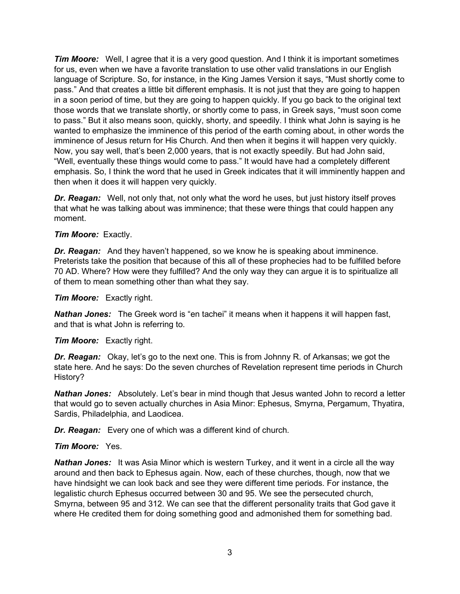*Tim Moore:* Well, I agree that it is a very good question. And I think it is important sometimes for us, even when we have a favorite translation to use other valid translations in our English language of Scripture. So, for instance, in the King James Version it says, "Must shortly come to pass." And that creates a little bit different emphasis. It is not just that they are going to happen in a soon period of time, but they are going to happen quickly. If you go back to the original text those words that we translate shortly, or shortly come to pass, in Greek says, "must soon come to pass." But it also means soon, quickly, shorty, and speedily. I think what John is saying is he wanted to emphasize the imminence of this period of the earth coming about, in other words the imminence of Jesus return for His Church. And then when it begins it will happen very quickly. Now, you say well, that's been 2,000 years, that is not exactly speedily. But had John said, "Well, eventually these things would come to pass." It would have had a completely different emphasis. So, I think the word that he used in Greek indicates that it will imminently happen and then when it does it will happen very quickly.

*Dr. Reagan:* Well, not only that, not only what the word he uses, but just history itself proves that what he was talking about was imminence; that these were things that could happen any moment.

# *Tim Moore:* Exactly.

*Dr. Reagan:* And they haven't happened, so we know he is speaking about imminence. Preterists take the position that because of this all of these prophecies had to be fulfilled before 70 AD. Where? How were they fulfilled? And the only way they can argue it is to spiritualize all of them to mean something other than what they say.

#### *Tim Moore:* Exactly right.

**Nathan Jones:** The Greek word is "en tachei" it means when it happens it will happen fast, and that is what John is referring to.

# *Tim Moore:* Exactly right.

*Dr. Reagan:* Okay, let's go to the next one. This is from Johnny R. of Arkansas; we got the state here. And he says: Do the seven churches of Revelation represent time periods in Church History?

**Nathan Jones:** Absolutely. Let's bear in mind though that Jesus wanted John to record a letter that would go to seven actually churches in Asia Minor: Ephesus, Smyrna, Pergamum, Thyatira, Sardis, Philadelphia, and Laodicea.

*Dr. Reagan:* Every one of which was a different kind of church.

# *Tim Moore:* Yes.

**Nathan Jones:** It was Asia Minor which is western Turkey, and it went in a circle all the way around and then back to Ephesus again. Now, each of these churches, though, now that we have hindsight we can look back and see they were different time periods. For instance, the legalistic church Ephesus occurred between 30 and 95. We see the persecuted church, Smyrna, between 95 and 312. We can see that the different personality traits that God gave it where He credited them for doing something good and admonished them for something bad.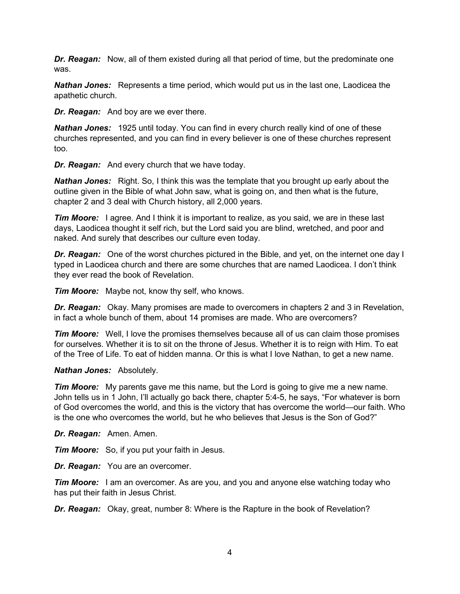*Dr. Reagan:* Now, all of them existed during all that period of time, but the predominate one was.

*Nathan Jones:* Represents a time period, which would put us in the last one, Laodicea the apathetic church.

*Dr. Reagan:* And boy are we ever there.

*Nathan Jones:* 1925 until today. You can find in every church really kind of one of these churches represented, and you can find in every believer is one of these churches represent too.

*Dr. Reagan:* And every church that we have today.

*Nathan Jones:* Right. So, I think this was the template that you brought up early about the outline given in the Bible of what John saw, what is going on, and then what is the future, chapter 2 and 3 deal with Church history, all 2,000 years.

*Tim Moore:* I agree. And I think it is important to realize, as you said, we are in these last days, Laodicea thought it self rich, but the Lord said you are blind, wretched, and poor and naked. And surely that describes our culture even today.

*Dr. Reagan:* One of the worst churches pictured in the Bible, and yet, on the internet one day I typed in Laodicea church and there are some churches that are named Laodicea. I don't think they ever read the book of Revelation.

*Tim Moore:* Maybe not, know thy self, who knows.

*Dr. Reagan:* Okay. Many promises are made to overcomers in chapters 2 and 3 in Revelation, in fact a whole bunch of them, about 14 promises are made. Who are overcomers?

*Tim Moore:* Well, I love the promises themselves because all of us can claim those promises for ourselves. Whether it is to sit on the throne of Jesus. Whether it is to reign with Him. To eat of the Tree of Life. To eat of hidden manna. Or this is what I love Nathan, to get a new name.

#### *Nathan Jones:* Absolutely.

*Tim Moore:* My parents gave me this name, but the Lord is going to give me a new name. John tells us in 1 John, I'll actually go back there, chapter 5:4-5, he says, "For whatever is born of God overcomes the world, and this is the victory that has overcome the world—our faith. Who is the one who overcomes the world, but he who believes that Jesus is the Son of God?"

*Dr. Reagan:* Amen. Amen.

*Tim Moore:* So, if you put your faith in Jesus.

*Dr. Reagan:* You are an overcomer.

*Tim Moore:* I am an overcomer. As are you, and you and anyone else watching today who has put their faith in Jesus Christ.

*Dr. Reagan:* Okay, great, number 8: Where is the Rapture in the book of Revelation?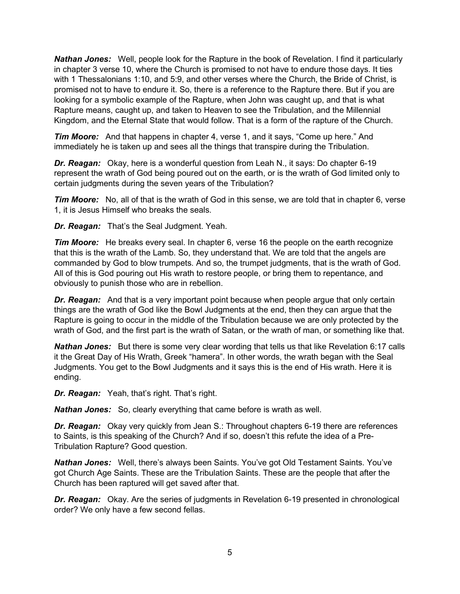*Nathan Jones:* Well, people look for the Rapture in the book of Revelation. I find it particularly in chapter 3 verse 10, where the Church is promised to not have to endure those days. It ties with 1 Thessalonians 1:10, and 5:9, and other verses where the Church, the Bride of Christ, is promised not to have to endure it. So, there is a reference to the Rapture there. But if you are looking for a symbolic example of the Rapture, when John was caught up, and that is what Rapture means, caught up, and taken to Heaven to see the Tribulation, and the Millennial Kingdom, and the Eternal State that would follow. That is a form of the rapture of the Church.

*Tim Moore:* And that happens in chapter 4, verse 1, and it says, "Come up here." And immediately he is taken up and sees all the things that transpire during the Tribulation.

*Dr. Reagan:* Okay, here is a wonderful question from Leah N., it says: Do chapter 6-19 represent the wrath of God being poured out on the earth, or is the wrath of God limited only to certain judgments during the seven years of the Tribulation?

*Tim Moore:* No, all of that is the wrath of God in this sense, we are told that in chapter 6, verse 1, it is Jesus Himself who breaks the seals.

*Dr. Reagan:* That's the Seal Judgment. Yeah.

*Tim Moore:* He breaks every seal. In chapter 6, verse 16 the people on the earth recognize that this is the wrath of the Lamb. So, they understand that. We are told that the angels are commanded by God to blow trumpets. And so, the trumpet judgments, that is the wrath of God. All of this is God pouring out His wrath to restore people, or bring them to repentance, and obviously to punish those who are in rebellion.

*Dr. Reagan:* And that is a very important point because when people argue that only certain things are the wrath of God like the Bowl Judgments at the end, then they can argue that the Rapture is going to occur in the middle of the Tribulation because we are only protected by the wrath of God, and the first part is the wrath of Satan, or the wrath of man, or something like that.

*Nathan Jones:* But there is some very clear wording that tells us that like Revelation 6:17 calls it the Great Day of His Wrath, Greek "hamera". In other words, the wrath began with the Seal Judgments. You get to the Bowl Judgments and it says this is the end of His wrath. Here it is ending.

*Dr. Reagan:* Yeah, that's right. That's right.

*Nathan Jones:* So, clearly everything that came before is wrath as well.

**Dr. Reagan:** Okay very quickly from Jean S.: Throughout chapters 6-19 there are references to Saints, is this speaking of the Church? And if so, doesn't this refute the idea of a Pre-Tribulation Rapture? Good question.

*Nathan Jones:* Well, there's always been Saints. You've got Old Testament Saints. You've got Church Age Saints. These are the Tribulation Saints. These are the people that after the Church has been raptured will get saved after that.

*Dr. Reagan:* Okay. Are the series of judgments in Revelation 6-19 presented in chronological order? We only have a few second fellas.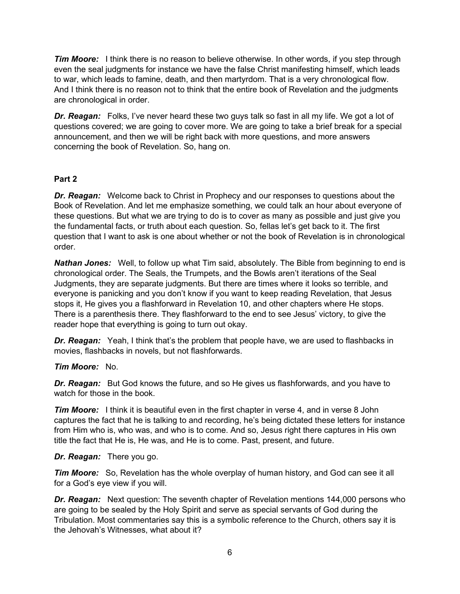*Tim Moore:* I think there is no reason to believe otherwise. In other words, if you step through even the seal judgments for instance we have the false Christ manifesting himself, which leads to war, which leads to famine, death, and then martyrdom. That is a very chronological flow. And I think there is no reason not to think that the entire book of Revelation and the judgments are chronological in order.

*Dr. Reagan:* Folks, I've never heard these two guys talk so fast in all my life. We got a lot of questions covered; we are going to cover more. We are going to take a brief break for a special announcement, and then we will be right back with more questions, and more answers concerning the book of Revelation. So, hang on.

# **Part 2**

*Dr. Reagan:* Welcome back to Christ in Prophecy and our responses to questions about the Book of Revelation. And let me emphasize something, we could talk an hour about everyone of these questions. But what we are trying to do is to cover as many as possible and just give you the fundamental facts, or truth about each question. So, fellas let's get back to it. The first question that I want to ask is one about whether or not the book of Revelation is in chronological order.

*Nathan Jones:* Well, to follow up what Tim said, absolutely. The Bible from beginning to end is chronological order. The Seals, the Trumpets, and the Bowls aren't iterations of the Seal Judgments, they are separate judgments. But there are times where it looks so terrible, and everyone is panicking and you don't know if you want to keep reading Revelation, that Jesus stops it, He gives you a flashforward in Revelation 10, and other chapters where He stops. There is a parenthesis there. They flashforward to the end to see Jesus' victory, to give the reader hope that everything is going to turn out okay.

**Dr. Reagan:** Yeah, I think that's the problem that people have, we are used to flashbacks in movies, flashbacks in novels, but not flashforwards.

# *Tim Moore:* No.

*Dr. Reagan:* But God knows the future, and so He gives us flashforwards, and you have to watch for those in the book.

*Tim Moore:* I think it is beautiful even in the first chapter in verse 4, and in verse 8 John captures the fact that he is talking to and recording, he's being dictated these letters for instance from Him who is, who was, and who is to come. And so, Jesus right there captures in His own title the fact that He is, He was, and He is to come. Past, present, and future.

# *Dr. Reagan:* There you go.

*Tim Moore:* So, Revelation has the whole overplay of human history, and God can see it all for a God's eye view if you will.

*Dr. Reagan:* Next question: The seventh chapter of Revelation mentions 144,000 persons who are going to be sealed by the Holy Spirit and serve as special servants of God during the Tribulation. Most commentaries say this is a symbolic reference to the Church, others say it is the Jehovah's Witnesses, what about it?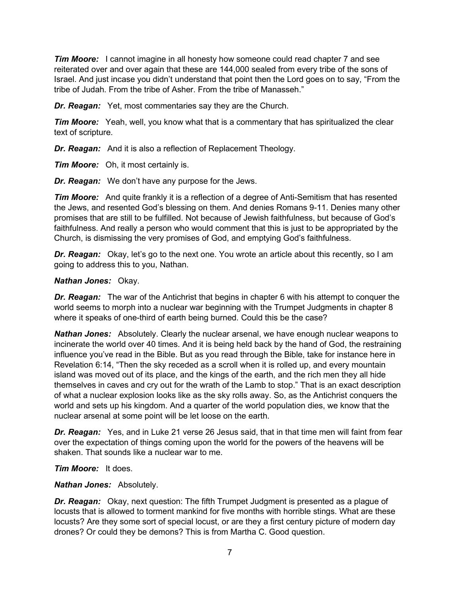*Tim Moore:* I cannot imagine in all honesty how someone could read chapter 7 and see reiterated over and over again that these are 144,000 sealed from every tribe of the sons of Israel. And just incase you didn't understand that point then the Lord goes on to say, "From the tribe of Judah. From the tribe of Asher. From the tribe of Manasseh."

*Dr. Reagan:* Yet, most commentaries say they are the Church.

*Tim Moore:* Yeah, well, you know what that is a commentary that has spiritualized the clear text of scripture.

*Dr. Reagan:* And it is also a reflection of Replacement Theology.

*Tim Moore:* Oh, it most certainly is.

*Dr. Reagan:* We don't have any purpose for the Jews.

*Tim Moore:* And quite frankly it is a reflection of a degree of Anti-Semitism that has resented the Jews, and resented God's blessing on them. And denies Romans 9-11. Denies many other promises that are still to be fulfilled. Not because of Jewish faithfulness, but because of God's faithfulness. And really a person who would comment that this is just to be appropriated by the Church, is dismissing the very promises of God, and emptying God's faithfulness.

*Dr. Reagan:* Okay, let's go to the next one. You wrote an article about this recently, so I am going to address this to you, Nathan.

### *Nathan Jones:* Okay.

*Dr. Reagan:* The war of the Antichrist that begins in chapter 6 with his attempt to conquer the world seems to morph into a nuclear war beginning with the Trumpet Judgments in chapter 8 where it speaks of one-third of earth being burned. Could this be the case?

*Nathan Jones:* Absolutely. Clearly the nuclear arsenal, we have enough nuclear weapons to incinerate the world over 40 times. And it is being held back by the hand of God, the restraining influence you've read in the Bible. But as you read through the Bible, take for instance here in Revelation 6:14, "Then the sky receded as a scroll when it is rolled up, and every mountain island was moved out of its place, and the kings of the earth, and the rich men they all hide themselves in caves and cry out for the wrath of the Lamb to stop." That is an exact description of what a nuclear explosion looks like as the sky rolls away. So, as the Antichrist conquers the world and sets up his kingdom. And a quarter of the world population dies, we know that the nuclear arsenal at some point will be let loose on the earth.

*Dr. Reagan:* Yes, and in Luke 21 verse 26 Jesus said, that in that time men will faint from fear over the expectation of things coming upon the world for the powers of the heavens will be shaken. That sounds like a nuclear war to me.

*Tim Moore:* It does.

*Nathan Jones:* Absolutely.

**Dr. Reagan:** Okay, next question: The fifth Trumpet Judgment is presented as a plague of locusts that is allowed to torment mankind for five months with horrible stings. What are these locusts? Are they some sort of special locust, or are they a first century picture of modern day drones? Or could they be demons? This is from Martha C. Good question.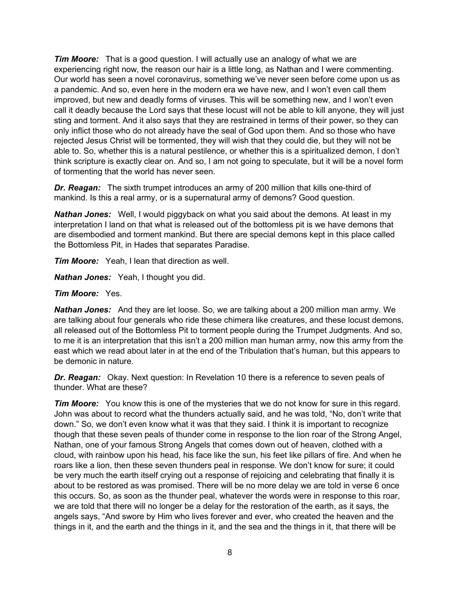*Tim Moore:* That is a good question. I will actually use an analogy of what we are experiencing right now, the reason our hair is a little long, as Nathan and I were commenting. Our world has seen a novel coronavirus, something we've never seen before come upon us as a pandemic. And so, even here in the modern era we have new, and I won't even call them improved, but new and deadly forms of viruses. This will be something new, and I won't even call it deadly because the Lord says that these locust will not be able to kill anyone, they will just sting and torment. And it also says that they are restrained in terms of their power, so they can only inflict those who do not already have the seal of God upon them. And so those who have rejected Jesus Christ will be tormented, they will wish that they could die, but they will not be able to. So, whether this is a natural pestilence, or whether this is a spiritualized demon, I don't think scripture is exactly clear on. And so, I am not going to speculate, but it will be a novel form of tormenting that the world has never seen.

*Dr. Reagan:* The sixth trumpet introduces an army of 200 million that kills one-third of mankind. Is this a real army, or is a supernatural army of demons? Good question.

*Nathan Jones:* Well, I would piggyback on what you said about the demons. At least in my interpretation I land on that what is released out of the bottomless pit is we have demons that are disembodied and torment mankind. But there are special demons kept in this place called the Bottomless Pit, in Hades that separates Paradise.

*Tim Moore:* Yeah, I lean that direction as well.

*Nathan Jones:* Yeah, I thought you did.

#### *Tim Moore:* Yes.

*Nathan Jones:* And they are let loose. So, we are talking about a 200 million man army. We are talking about four generals who ride these chimera like creatures, and these locust demons, all released out of the Bottomless Pit to torment people during the Trumpet Judgments. And so, to me it is an interpretation that this isn't a 200 million man human army, now this army from the east which we read about later in at the end of the Tribulation that's human, but this appears to be demonic in nature.

*Dr. Reagan:* Okay. Next question: In Revelation 10 there is a reference to seven peals of thunder. What are these?

*Tim Moore:* You know this is one of the mysteries that we do not know for sure in this regard. John was about to record what the thunders actually said, and he was told, "No, don't write that down." So, we don't even know what it was that they said. I think it is important to recognize though that these seven peals of thunder come in response to the lion roar of the Strong Angel, Nathan, one of your famous Strong Angels that comes down out of heaven, clothed with a cloud, with rainbow upon his head, his face like the sun, his feet like pillars of fire. And when he roars like a lion, then these seven thunders peal in response. We don't know for sure; it could be very much the earth itself crying out a response of rejoicing and celebrating that finally it is about to be restored as was promised. There will be no more delay we are told in verse 6 once this occurs. So, as soon as the thunder peal, whatever the words were in response to this roar, we are told that there will no longer be a delay for the restoration of the earth, as it says, the angels says, "And swore by Him who lives forever and ever, who created the heaven and the things in it, and the earth and the things in it, and the sea and the things in it, that there will be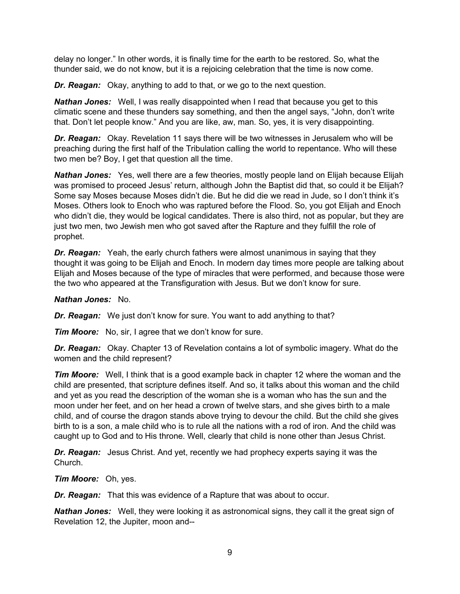delay no longer." In other words, it is finally time for the earth to be restored. So, what the thunder said, we do not know, but it is a rejoicing celebration that the time is now come.

*Dr. Reagan:* Okay, anything to add to that, or we go to the next question.

*Nathan Jones:* Well, I was really disappointed when I read that because you get to this climatic scene and these thunders say something, and then the angel says, "John, don't write that. Don't let people know." And you are like, aw, man. So, yes, it is very disappointing.

*Dr. Reagan:* Okay. Revelation 11 says there will be two witnesses in Jerusalem who will be preaching during the first half of the Tribulation calling the world to repentance. Who will these two men be? Boy, I get that question all the time.

*Nathan Jones:* Yes, well there are a few theories, mostly people land on Elijah because Elijah was promised to proceed Jesus' return, although John the Baptist did that, so could it be Elijah? Some say Moses because Moses didn't die. But he did die we read in Jude, so I don't think it's Moses. Others look to Enoch who was raptured before the Flood. So, you got Elijah and Enoch who didn't die, they would be logical candidates. There is also third, not as popular, but they are just two men, two Jewish men who got saved after the Rapture and they fulfill the role of prophet.

*Dr. Reagan:* Yeah, the early church fathers were almost unanimous in saying that they thought it was going to be Elijah and Enoch. In modern day times more people are talking about Elijah and Moses because of the type of miracles that were performed, and because those were the two who appeared at the Transfiguration with Jesus. But we don't know for sure.

*Nathan Jones:* No.

*Dr. Reagan:* We just don't know for sure. You want to add anything to that?

*Tim Moore:* No, sir, I agree that we don't know for sure.

*Dr. Reagan:* Okay. Chapter 13 of Revelation contains a lot of symbolic imagery. What do the women and the child represent?

*Tim Moore:* Well, I think that is a good example back in chapter 12 where the woman and the child are presented, that scripture defines itself. And so, it talks about this woman and the child and yet as you read the description of the woman she is a woman who has the sun and the moon under her feet, and on her head a crown of twelve stars, and she gives birth to a male child, and of course the dragon stands above trying to devour the child. But the child she gives birth to is a son, a male child who is to rule all the nations with a rod of iron. And the child was caught up to God and to His throne. Well, clearly that child is none other than Jesus Christ.

*Dr. Reagan:* Jesus Christ. And yet, recently we had prophecy experts saying it was the Church.

*Tim Moore:* Oh, yes.

*Dr. Reagan:* That this was evidence of a Rapture that was about to occur.

*Nathan Jones:* Well, they were looking it as astronomical signs, they call it the great sign of Revelation 12, the Jupiter, moon and--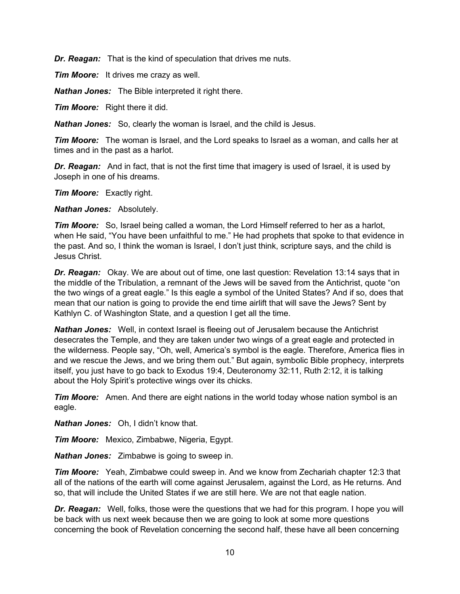*Dr. Reagan:* That is the kind of speculation that drives me nuts.

*Tim Moore:* It drives me crazy as well.

*Nathan Jones:* The Bible interpreted it right there.

*Tim Moore:* Right there it did.

*Nathan Jones:* So, clearly the woman is Israel, and the child is Jesus.

*Tim Moore:* The woman is Israel, and the Lord speaks to Israel as a woman, and calls her at times and in the past as a harlot.

*Dr. Reagan:* And in fact, that is not the first time that imagery is used of Israel, it is used by Joseph in one of his dreams.

*Tim Moore:* Exactly right.

*Nathan Jones:* Absolutely.

*Tim Moore:* So, Israel being called a woman, the Lord Himself referred to her as a harlot, when He said, "You have been unfaithful to me." He had prophets that spoke to that evidence in the past. And so, I think the woman is Israel, I don't just think, scripture says, and the child is Jesus Christ.

**Dr. Reagan:** Okay. We are about out of time, one last question: Revelation 13:14 says that in the middle of the Tribulation, a remnant of the Jews will be saved from the Antichrist, quote "on the two wings of a great eagle." Is this eagle a symbol of the United States? And if so, does that mean that our nation is going to provide the end time airlift that will save the Jews? Sent by Kathlyn C. of Washington State, and a question I get all the time.

*Nathan Jones:* Well, in context Israel is fleeing out of Jerusalem because the Antichrist desecrates the Temple, and they are taken under two wings of a great eagle and protected in the wilderness. People say, "Oh, well, America's symbol is the eagle. Therefore, America flies in and we rescue the Jews, and we bring them out." But again, symbolic Bible prophecy, interprets itself, you just have to go back to Exodus 19:4, Deuteronomy 32:11, Ruth 2:12, it is talking about the Holy Spirit's protective wings over its chicks.

*Tim Moore:* Amen. And there are eight nations in the world today whose nation symbol is an eagle.

*Nathan Jones:* Oh, I didn't know that.

*Tim Moore:* Mexico, Zimbabwe, Nigeria, Egypt.

*Nathan Jones:* Zimbabwe is going to sweep in.

*Tim Moore:* Yeah, Zimbabwe could sweep in. And we know from Zechariah chapter 12:3 that all of the nations of the earth will come against Jerusalem, against the Lord, as He returns. And so, that will include the United States if we are still here. We are not that eagle nation.

*Dr. Reagan:* Well, folks, those were the questions that we had for this program. I hope you will be back with us next week because then we are going to look at some more questions concerning the book of Revelation concerning the second half, these have all been concerning